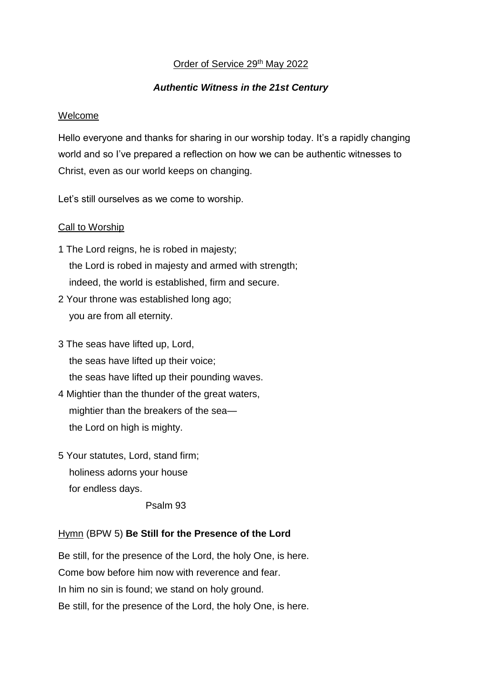# Order of Service 29<sup>th</sup> May 2022

### *Authentic Witness in the 21st Century*

#### Welcome

Hello everyone and thanks for sharing in our worship today. It's a rapidly changing world and so I've prepared a reflection on how we can be authentic witnesses to Christ, even as our world keeps on changing.

Let's still ourselves as we come to worship.

## Call to Worship

- 1 The Lord reigns, he is robed in majesty; the Lord is robed in majesty and armed with strength; indeed, the world is established, firm and secure.
- 2 Your throne was established long ago; you are from all eternity.
- 3 The seas have lifted up, Lord, the seas have lifted up their voice; the seas have lifted up their pounding waves.
- 4 Mightier than the thunder of the great waters, mightier than the breakers of the sea the Lord on high is mighty.
- 5 Your statutes, Lord, stand firm; holiness adorns your house for endless days.

Psalm 93

# Hymn (BPW 5) **Be Still for the Presence of the Lord**

Be still, for the [presence](https://www.definitions.net/definition/presence) of the Lord, the holy One, is here. Come bow [before](https://www.definitions.net/definition/before) him now with [reverence](https://www.definitions.net/definition/reverence) and fear. In him no sin is [found;](https://www.definitions.net/definition/found) we [stand](https://www.definitions.net/definition/stand) on holy ground. Be still, for the [presence](https://www.definitions.net/definition/presence) of the Lord, the holy One, is here.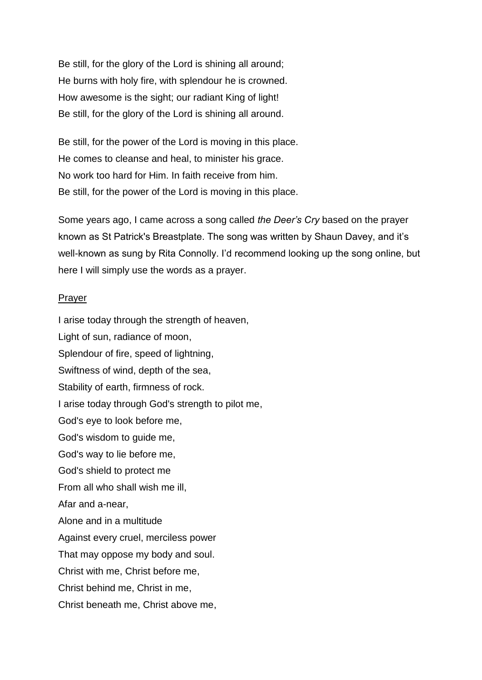Be still, for the [glory](https://www.definitions.net/definition/glory) of the Lord is [shining](https://www.definitions.net/definition/shining) all around; He [burns](https://www.definitions.net/definition/burns) with holy fire, with [splendour](https://www.definitions.net/definition/splendor) he is crowned. How [awesome](https://www.definitions.net/definition/awesome) is the [sight;](https://www.definitions.net/definition/sight) our [radiant](https://www.definitions.net/definition/radiant) King of light! Be still, for the [glory](https://www.definitions.net/definition/glory) of the Lord is [shining](https://www.definitions.net/definition/shining) all around.

Be still, for the [power](https://www.definitions.net/definition/power) of the Lord is [moving](https://www.definitions.net/definition/moving) in this place. He [comes](https://www.definitions.net/definition/comes) to [cleanse](https://www.definitions.net/definition/cleanse) and heal, to [minister](https://www.definitions.net/definition/minister) his [grace.](https://www.definitions.net/definition/grace) No work too hard for Him. In [faith](https://www.definitions.net/definition/faith) receive from him. Be still, for the [power](https://www.definitions.net/definition/power) of the Lord is [moving](https://www.definitions.net/definition/moving) in this place.

Some years ago, I came across a song called *the Deer's Cry* based on the prayer known as St Patrick's Breastplate. The song was written by Shaun Davey, and it's well-known as sung by Rita Connolly. I'd recommend looking up the song online, but here I will simply use the words as a prayer.

#### Prayer

I arise today through the strength of heaven, Light of sun, radiance of moon, Splendour of fire, speed of lightning, Swiftness of wind, depth of the sea, Stability of earth, firmness of rock. I arise today through God's strength to pilot me, God's eye to look before me, God's wisdom to guide me, God's way to lie before me, God's shield to protect me From all who shall wish me ill, Afar and a-near, Alone and in a multitude Against every cruel, merciless power That may oppose my body and soul. Christ with me, Christ before me, Christ behind me, Christ in me, Christ beneath me, Christ above me,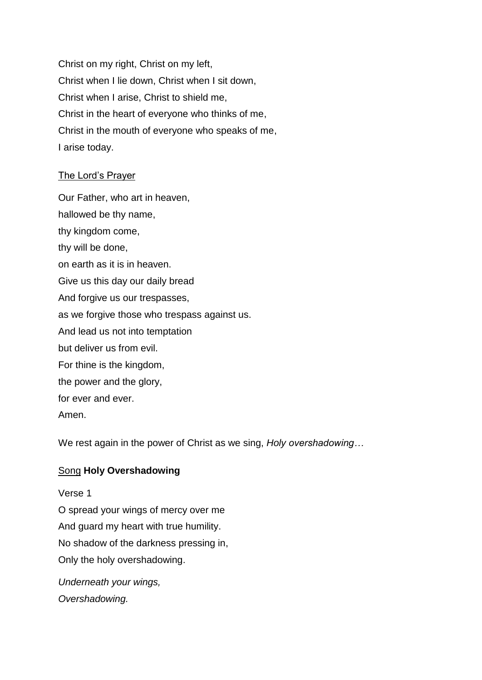Christ on my right, Christ on my left, Christ when I lie down, Christ when I sit down, Christ when I arise, Christ to shield me, Christ in the heart of everyone who thinks of me, Christ in the mouth of everyone who speaks of me, I arise today.

## The Lord's Prayer

Our Father, who art in heaven, hallowed be thy name, thy kingdom come, thy will be done, on earth as it is in heaven. Give us this day our daily bread And forgive us our trespasses, as we forgive those who trespass against us. And lead us not into temptation but deliver us from evil. For thine is the kingdom, the power and the glory, for ever and ever. Amen.

We rest again in the power of Christ as we sing, *Holy overshadowing…*

# Song **Holy Overshadowing**

## Verse 1

O spread your wings of mercy over me And guard my heart with true humility. No shadow of the darkness pressing in, Only the holy overshadowing.

*Underneath your wings, Overshadowing.*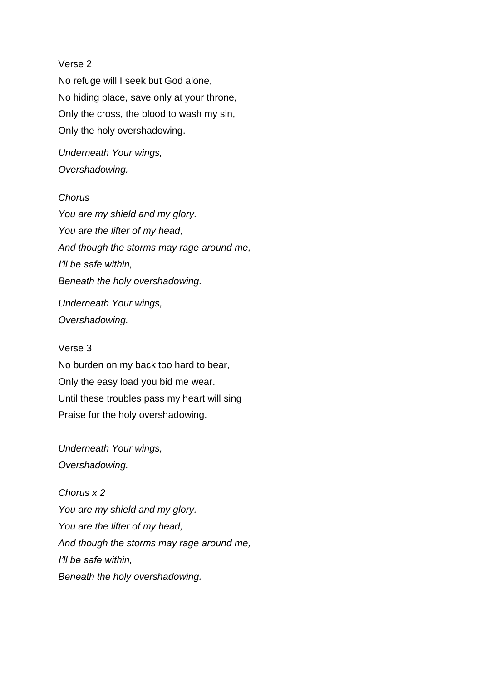#### Verse 2

No refuge will I seek but God alone, No hiding place, save only at your throne, Only the cross, the blood to wash my sin, Only the holy overshadowing.

*Underneath Your wings, Overshadowing.*

#### *Chorus*

*You are my shield and my glory. You are the lifter of my head, And though the storms may rage around me, I'll be safe within, Beneath the holy overshadowing.*

*Underneath Your wings, Overshadowing.*

#### Verse 3

No burden on my back too hard to bear, Only the easy load you bid me wear. Until these troubles pass my heart will sing Praise for the holy overshadowing.

*Underneath Your wings, Overshadowing.*

*Chorus x 2 You are my shield and my glory. You are the lifter of my head, And though the storms may rage around me, I'll be safe within, Beneath the holy overshadowing.*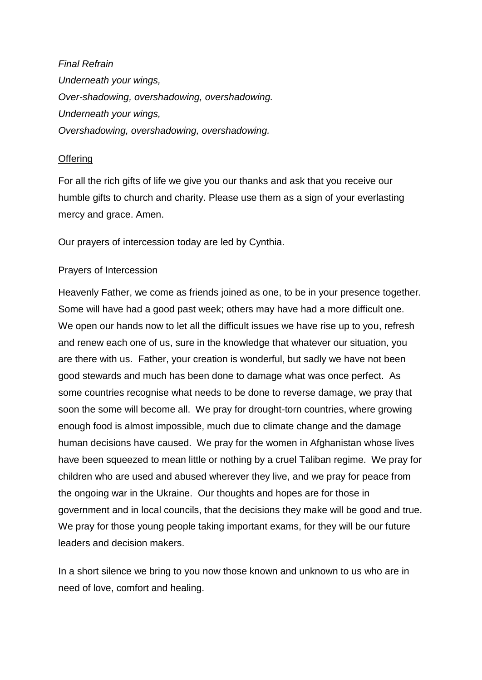*Final Refrain Underneath your wings, Over-shadowing, overshadowing, overshadowing. Underneath your wings, Overshadowing, overshadowing, overshadowing.*

### **Offering**

For all the rich gifts of life we give you our thanks and ask that you receive our humble gifts to church and charity. Please use them as a sign of your everlasting mercy and grace. Amen.

Our prayers of intercession today are led by Cynthia.

### Prayers of Intercession

Heavenly Father, we come as friends joined as one, to be in your presence together. Some will have had a good past week; others may have had a more difficult one. We open our hands now to let all the difficult issues we have rise up to you, refresh and renew each one of us, sure in the knowledge that whatever our situation, you are there with us. Father, your creation is wonderful, but sadly we have not been good stewards and much has been done to damage what was once perfect. As some countries recognise what needs to be done to reverse damage, we pray that soon the some will become all. We pray for drought-torn countries, where growing enough food is almost impossible, much due to climate change and the damage human decisions have caused. We pray for the women in Afghanistan whose lives have been squeezed to mean little or nothing by a cruel Taliban regime. We pray for children who are used and abused wherever they live, and we pray for peace from the ongoing war in the Ukraine. Our thoughts and hopes are for those in government and in local councils, that the decisions they make will be good and true. We pray for those young people taking important exams, for they will be our future leaders and decision makers.

In a short silence we bring to you now those known and unknown to us who are in need of love, comfort and healing.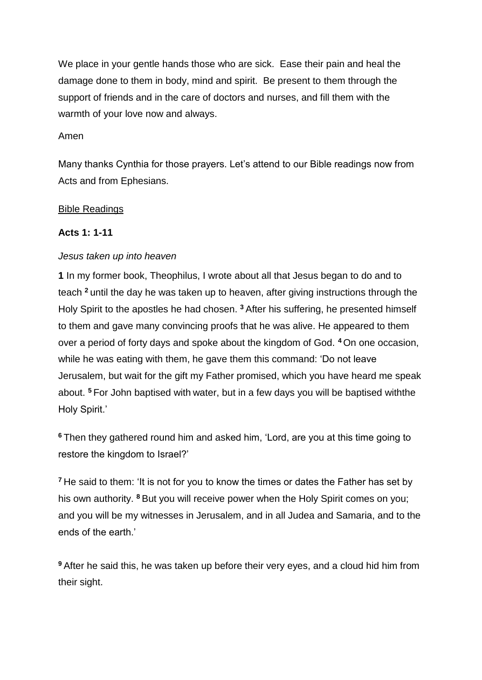We place in your gentle hands those who are sick. Ease their pain and heal the damage done to them in body, mind and spirit. Be present to them through the support of friends and in the care of doctors and nurses, and fill them with the warmth of your love now and always.

## Amen

Many thanks Cynthia for those prayers. Let's attend to our Bible readings now from Acts and from Ephesians.

# Bible Readings

# **Acts 1: 1-11**

# *Jesus taken up into heaven*

**1** In my former book, Theophilus, I wrote about all that Jesus began to do and to teach **<sup>2</sup>** until the day he was taken up to heaven, after giving instructions through the Holy Spirit to the apostles he had chosen. **<sup>3</sup>** After his suffering, he presented himself to them and gave many convincing proofs that he was alive. He appeared to them over a period of forty days and spoke about the kingdom of God. **<sup>4</sup>** On one occasion, while he was eating with them, he gave them this command: 'Do not leave Jerusalem, but wait for the gift my Father promised, which you have heard me speak about. **<sup>5</sup>** For John baptised with water, but in a few days you will be baptised withthe Holy Spirit.'

**<sup>6</sup>** Then they gathered round him and asked him, 'Lord, are you at this time going to restore the kingdom to Israel?'

**<sup>7</sup>** He said to them: 'It is not for you to know the times or dates the Father has set by his own authority. **<sup>8</sup>** But you will receive power when the Holy Spirit comes on you; and you will be my witnesses in Jerusalem, and in all Judea and Samaria, and to the ends of the earth.'

**<sup>9</sup>** After he said this, he was taken up before their very eyes, and a cloud hid him from their sight.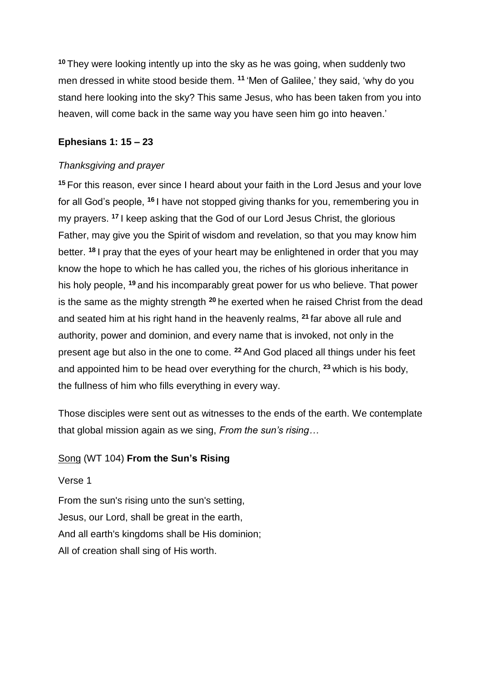**<sup>10</sup>** They were looking intently up into the sky as he was going, when suddenly two men dressed in white stood beside them. **<sup>11</sup>** 'Men of Galilee,' they said, 'why do you stand here looking into the sky? This same Jesus, who has been taken from you into heaven, will come back in the same way you have seen him go into heaven.'

# **Ephesians 1: 15 – 23**

# *Thanksgiving and prayer*

**<sup>15</sup>** For this reason, ever since I heard about your faith in the Lord Jesus and your love for all God's people, **<sup>16</sup>** I have not stopped giving thanks for you, remembering you in my prayers. **<sup>17</sup>** I keep asking that the God of our Lord Jesus Christ, the glorious Father, may give you the Spirit of wisdom and revelation, so that you may know him better. **<sup>18</sup>** I pray that the eyes of your heart may be enlightened in order that you may know the hope to which he has called you, the riches of his glorious inheritance in his holy people, **<sup>19</sup>** and his incomparably great power for us who believe. That power is the same as the mighty strength **<sup>20</sup>** he exerted when he raised Christ from the dead and seated him at his right hand in the heavenly realms, **<sup>21</sup>** far above all rule and authority, power and dominion, and every name that is invoked, not only in the present age but also in the one to come. **<sup>22</sup>** And God placed all things under his feet and appointed him to be head over everything for the church, **<sup>23</sup>** which is his body, the fullness of him who fills everything in every way.

Those disciples were sent out as witnesses to the ends of the earth. We contemplate that global mission again as we sing, *From the sun's rising…*

# Song (WT 104) **From the Sun's Rising**

Verse 1 From the sun's rising unto the sun's setting, Jesus, our Lord, shall be great in the earth, And all earth's kingdoms shall be His dominion; All of creation shall sing of His worth.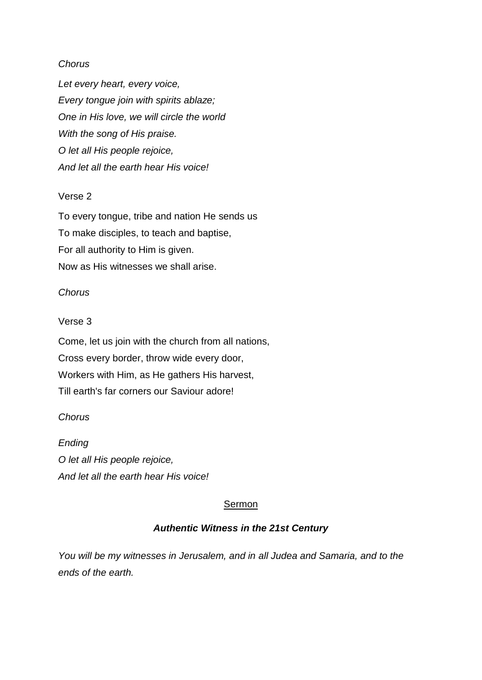### *Chorus*

*Let every heart, every voice, Every tongue join with spirits ablaze; One in His love, we will circle the world With the song of His praise. O let all His people rejoice, And let all the earth hear His voice!*

### Verse 2

To every tongue, tribe and nation He sends us To make disciples, to teach and baptise, For all authority to Him is given. Now as His witnesses we shall arise.

#### *Chorus*

#### Verse 3

Come, let us join with the church from all nations, Cross every border, throw wide every door, Workers with Him, as He gathers His harvest, Till earth's far corners our Saviour adore!

### *Chorus*

*Ending O let all His people rejoice, And let all the earth hear His voice!*

#### Sermon

#### *Authentic Witness in the 21st Century*

*You will be my witnesses in Jerusalem, and in all Judea and Samaria, and to the ends of the earth.*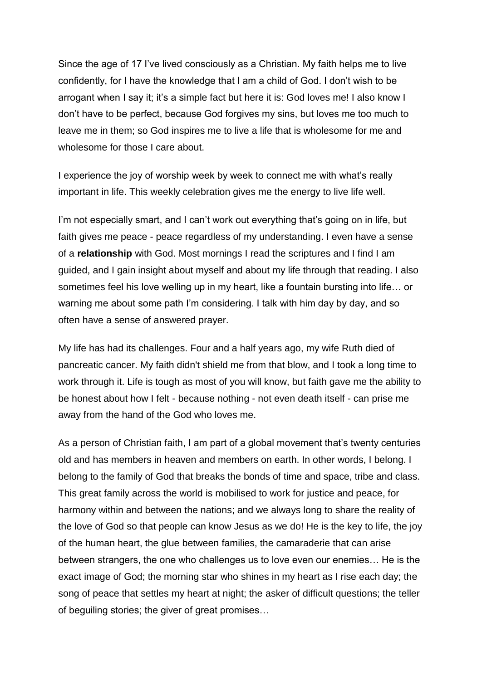Since the age of 17 I've lived consciously as a Christian. My faith helps me to live confidently, for I have the knowledge that I am a child of God. I don't wish to be arrogant when I say it; it's a simple fact but here it is: God loves me! I also know I don't have to be perfect, because God forgives my sins, but loves me too much to leave me in them; so God inspires me to live a life that is wholesome for me and wholesome for those I care about.

I experience the joy of worship week by week to connect me with what's really important in life. This weekly celebration gives me the energy to live life well.

I'm not especially smart, and I can't work out everything that's going on in life, but faith gives me peace - peace regardless of my understanding. I even have a sense of a **relationship** with God. Most mornings I read the scriptures and I find I am guided, and I gain insight about myself and about my life through that reading. I also sometimes feel his love welling up in my heart, like a fountain bursting into life… or warning me about some path I'm considering. I talk with him day by day, and so often have a sense of answered prayer.

My life has had its challenges. Four and a half years ago, my wife Ruth died of pancreatic cancer. My faith didn't shield me from that blow, and I took a long time to work through it. Life is tough as most of you will know, but faith gave me the ability to be honest about how I felt - because nothing - not even death itself - can prise me away from the hand of the God who loves me.

As a person of Christian faith, I am part of a global movement that's twenty centuries old and has members in heaven and members on earth. In other words, I belong. I belong to the family of God that breaks the bonds of time and space, tribe and class. This great family across the world is mobilised to work for justice and peace, for harmony within and between the nations; and we always long to share the reality of the love of God so that people can know Jesus as we do! He is the key to life, the joy of the human heart, the glue between families, the camaraderie that can arise between strangers, the one who challenges us to love even our enemies… He is the exact image of God; the morning star who shines in my heart as I rise each day; the song of peace that settles my heart at night; the asker of difficult questions; the teller of beguiling stories; the giver of great promises…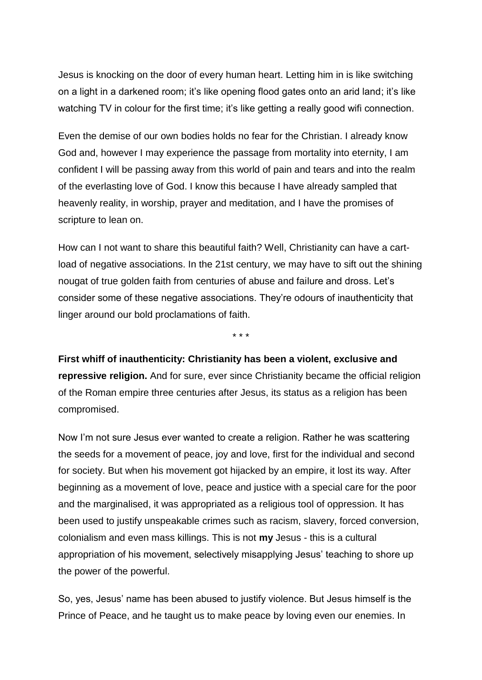Jesus is knocking on the door of every human heart. Letting him in is like switching on a light in a darkened room; it's like opening flood gates onto an arid land; it's like watching TV in colour for the first time; it's like getting a really good wifi connection.

Even the demise of our own bodies holds no fear for the Christian. I already know God and, however I may experience the passage from mortality into eternity, I am confident I will be passing away from this world of pain and tears and into the realm of the everlasting love of God. I know this because I have already sampled that heavenly reality, in worship, prayer and meditation, and I have the promises of scripture to lean on.

How can I not want to share this beautiful faith? Well, Christianity can have a cartload of negative associations. In the 21st century, we may have to sift out the shining nougat of true golden faith from centuries of abuse and failure and dross. Let's consider some of these negative associations. They're odours of inauthenticity that linger around our bold proclamations of faith.

\* \* \*

**First whiff of inauthenticity: Christianity has been a violent, exclusive and repressive religion.** And for sure, ever since Christianity became the official religion of the Roman empire three centuries after Jesus, its status as a religion has been compromised.

Now I'm not sure Jesus ever wanted to create a religion. Rather he was scattering the seeds for a movement of peace, joy and love, first for the individual and second for society. But when his movement got hijacked by an empire, it lost its way. After beginning as a movement of love, peace and justice with a special care for the poor and the marginalised, it was appropriated as a religious tool of oppression. It has been used to justify unspeakable crimes such as racism, slavery, forced conversion, colonialism and even mass killings. This is not **my** Jesus - this is a cultural appropriation of his movement, selectively misapplying Jesus' teaching to shore up the power of the powerful.

So, yes, Jesus' name has been abused to justify violence. But Jesus himself is the Prince of Peace, and he taught us to make peace by loving even our enemies. In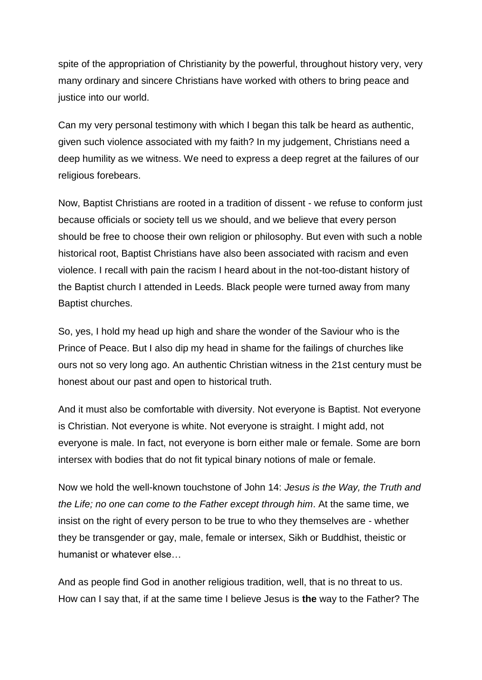spite of the appropriation of Christianity by the powerful, throughout history very, very many ordinary and sincere Christians have worked with others to bring peace and justice into our world.

Can my very personal testimony with which I began this talk be heard as authentic, given such violence associated with my faith? In my judgement, Christians need a deep humility as we witness. We need to express a deep regret at the failures of our religious forebears.

Now, Baptist Christians are rooted in a tradition of dissent - we refuse to conform just because officials or society tell us we should, and we believe that every person should be free to choose their own religion or philosophy. But even with such a noble historical root, Baptist Christians have also been associated with racism and even violence. I recall with pain the racism I heard about in the not-too-distant history of the Baptist church I attended in Leeds. Black people were turned away from many Baptist churches.

So, yes, I hold my head up high and share the wonder of the Saviour who is the Prince of Peace. But I also dip my head in shame for the failings of churches like ours not so very long ago. An authentic Christian witness in the 21st century must be honest about our past and open to historical truth.

And it must also be comfortable with diversity. Not everyone is Baptist. Not everyone is Christian. Not everyone is white. Not everyone is straight. I might add, not everyone is male. In fact, not everyone is born either male or female. Some are born intersex with bodies that do not fit typical binary notions of male or female.

Now we hold the well-known touchstone of John 14: *Jesus is the Way, the Truth and the Life; no one can come to the Father except through him*. At the same time, we insist on the right of every person to be true to who they themselves are - whether they be transgender or gay, male, female or intersex, Sikh or Buddhist, theistic or humanist or whatever else…

And as people find God in another religious tradition, well, that is no threat to us. How can I say that, if at the same time I believe Jesus is **the** way to the Father? The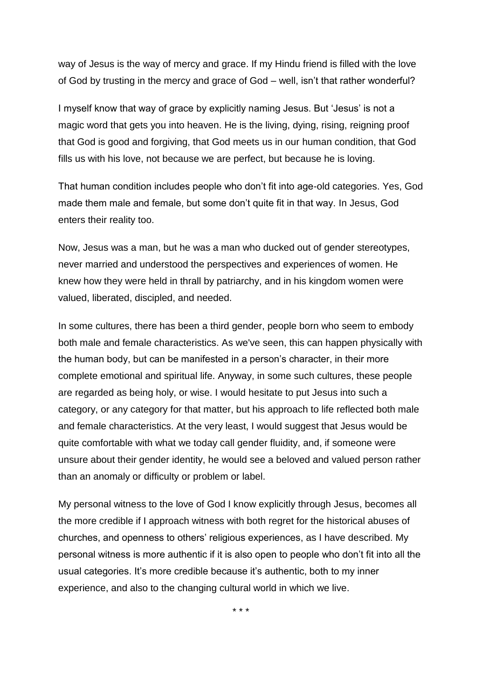way of Jesus is the way of mercy and grace. If my Hindu friend is filled with the love of God by trusting in the mercy and grace of God – well, isn't that rather wonderful?

I myself know that way of grace by explicitly naming Jesus. But 'Jesus' is not a magic word that gets you into heaven. He is the living, dying, rising, reigning proof that God is good and forgiving, that God meets us in our human condition, that God fills us with his love, not because we are perfect, but because he is loving.

That human condition includes people who don't fit into age-old categories. Yes, God made them male and female, but some don't quite fit in that way. In Jesus, God enters their reality too.

Now, Jesus was a man, but he was a man who ducked out of gender stereotypes, never married and understood the perspectives and experiences of women. He knew how they were held in thrall by patriarchy, and in his kingdom women were valued, liberated, discipled, and needed.

In some cultures, there has been a third gender, people born who seem to embody both male and female characteristics. As we've seen, this can happen physically with the human body, but can be manifested in a person's character, in their more complete emotional and spiritual life. Anyway, in some such cultures, these people are regarded as being holy, or wise. I would hesitate to put Jesus into such a category, or any category for that matter, but his approach to life reflected both male and female characteristics. At the very least, I would suggest that Jesus would be quite comfortable with what we today call gender fluidity, and, if someone were unsure about their gender identity, he would see a beloved and valued person rather than an anomaly or difficulty or problem or label.

My personal witness to the love of God I know explicitly through Jesus, becomes all the more credible if I approach witness with both regret for the historical abuses of churches, and openness to others' religious experiences, as I have described. My personal witness is more authentic if it is also open to people who don't fit into all the usual categories. It's more credible because it's authentic, both to my inner experience, and also to the changing cultural world in which we live.

\* \* \*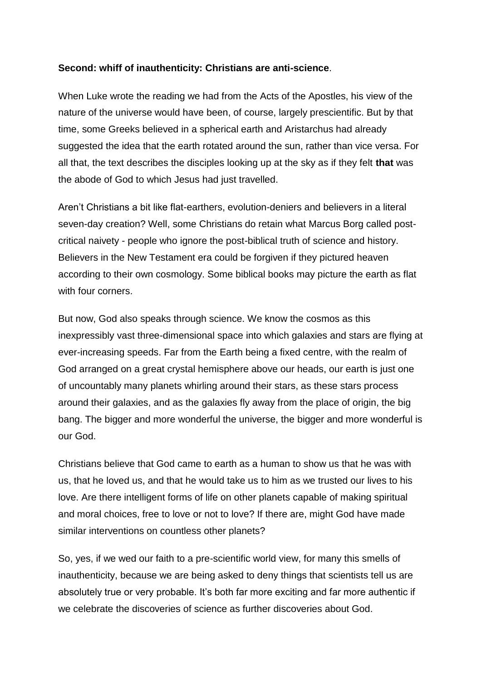### **Second: whiff of inauthenticity: Christians are anti-science**.

When Luke wrote the reading we had from the Acts of the Apostles, his view of the nature of the universe would have been, of course, largely prescientific. But by that time, some Greeks believed in a spherical earth and Aristarchus had already suggested the idea that the earth rotated around the sun, rather than vice versa. For all that, the text describes the disciples looking up at the sky as if they felt **that** was the abode of God to which Jesus had just travelled.

Aren't Christians a bit like flat-earthers, evolution-deniers and believers in a literal seven-day creation? Well, some Christians do retain what Marcus Borg called postcritical naivety - people who ignore the post-biblical truth of science and history. Believers in the New Testament era could be forgiven if they pictured heaven according to their own cosmology. Some biblical books may picture the earth as flat with four corners.

But now, God also speaks through science. We know the cosmos as this inexpressibly vast three-dimensional space into which galaxies and stars are flying at ever-increasing speeds. Far from the Earth being a fixed centre, with the realm of God arranged on a great crystal hemisphere above our heads, our earth is just one of uncountably many planets whirling around their stars, as these stars process around their galaxies, and as the galaxies fly away from the place of origin, the big bang. The bigger and more wonderful the universe, the bigger and more wonderful is our God.

Christians believe that God came to earth as a human to show us that he was with us, that he loved us, and that he would take us to him as we trusted our lives to his love. Are there intelligent forms of life on other planets capable of making spiritual and moral choices, free to love or not to love? If there are, might God have made similar interventions on countless other planets?

So, yes, if we wed our faith to a pre-scientific world view, for many this smells of inauthenticity, because we are being asked to deny things that scientists tell us are absolutely true or very probable. It's both far more exciting and far more authentic if we celebrate the discoveries of science as further discoveries about God.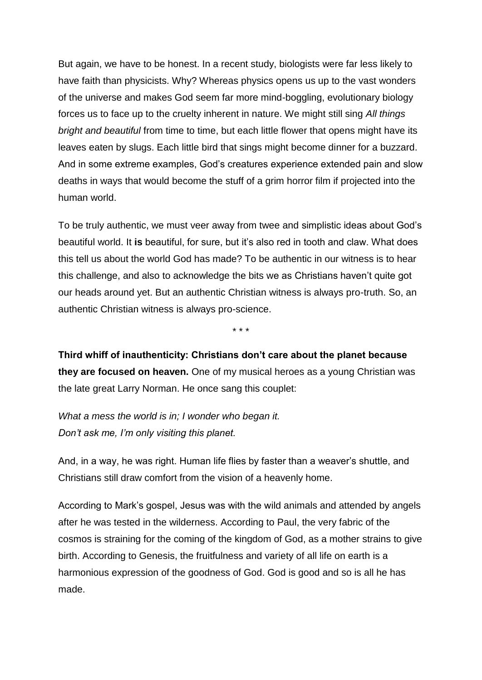But again, we have to be honest. In a recent study, biologists were far less likely to have faith than physicists. Why? Whereas physics opens us up to the vast wonders of the universe and makes God seem far more mind-boggling, evolutionary biology forces us to face up to the cruelty inherent in nature. We might still sing *All things bright and beautiful* from time to time, but each little flower that opens might have its leaves eaten by slugs. Each little bird that sings might become dinner for a buzzard. And in some extreme examples, God's creatures experience extended pain and slow deaths in ways that would become the stuff of a grim horror film if projected into the human world.

To be truly authentic, we must veer away from twee and simplistic ideas about God's beautiful world. It **is** beautiful, for sure, but it's also red in tooth and claw. What does this tell us about the world God has made? To be authentic in our witness is to hear this challenge, and also to acknowledge the bits we as Christians haven't quite got our heads around yet. But an authentic Christian witness is always pro-truth. So, an authentic Christian witness is always pro-science.

\* \* \*

**Third whiff of inauthenticity: Christians don't care about the planet because they are focused on heaven.** One of my musical heroes as a young Christian was the late great Larry Norman. He once sang this couplet:

*What a mess the world is in; I wonder who began it. Don't ask me, I'm only visiting this planet.*

And, in a way, he was right. Human life flies by faster than a weaver's shuttle, and Christians still draw comfort from the vision of a heavenly home.

According to Mark's gospel, Jesus was with the wild animals and attended by angels after he was tested in the wilderness. According to Paul, the very fabric of the cosmos is straining for the coming of the kingdom of God, as a mother strains to give birth. According to Genesis, the fruitfulness and variety of all life on earth is a harmonious expression of the goodness of God. God is good and so is all he has made.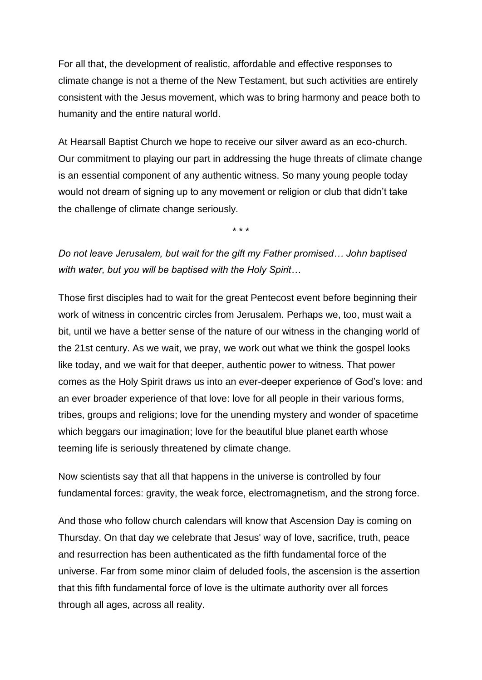For all that, the development of realistic, affordable and effective responses to climate change is not a theme of the New Testament, but such activities are entirely consistent with the Jesus movement, which was to bring harmony and peace both to humanity and the entire natural world.

At Hearsall Baptist Church we hope to receive our silver award as an eco-church. Our commitment to playing our part in addressing the huge threats of climate change is an essential component of any authentic witness. So many young people today would not dream of signing up to any movement or religion or club that didn't take the challenge of climate change seriously.

\* \* \*

*Do not leave Jerusalem, but wait for the gift my Father promised… John baptised with water, but you will be baptised with the Holy Spirit…*

Those first disciples had to wait for the great Pentecost event before beginning their work of witness in concentric circles from Jerusalem. Perhaps we, too, must wait a bit, until we have a better sense of the nature of our witness in the changing world of the 21st century. As we wait, we pray, we work out what we think the gospel looks like today, and we wait for that deeper, authentic power to witness. That power comes as the Holy Spirit draws us into an ever-deeper experience of God's love: and an ever broader experience of that love: love for all people in their various forms, tribes, groups and religions; love for the unending mystery and wonder of spacetime which beggars our imagination; love for the beautiful blue planet earth whose teeming life is seriously threatened by climate change.

Now scientists say that all that happens in the universe is controlled by four fundamental forces: gravity, the weak force, electromagnetism, and the strong force.

And those who follow church calendars will know that Ascension Day is coming on Thursday. On that day we celebrate that Jesus' way of love, sacrifice, truth, peace and resurrection has been authenticated as the fifth fundamental force of the universe. Far from some minor claim of deluded fools, the ascension is the assertion that this fifth fundamental force of love is the ultimate authority over all forces through all ages, across all reality.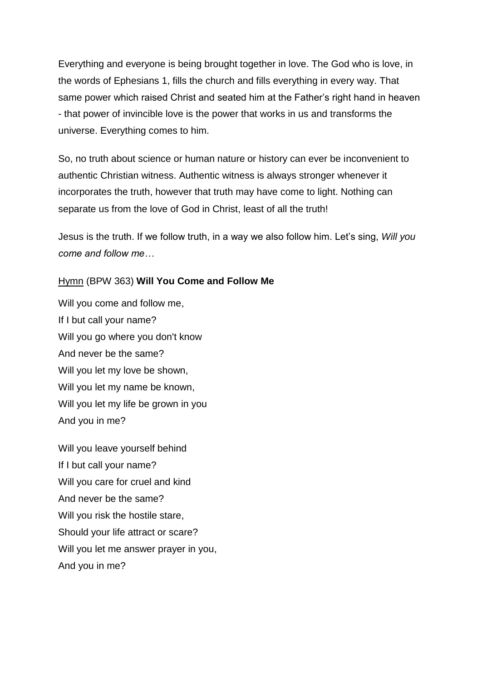Everything and everyone is being brought together in love. The God who is love, in the words of Ephesians 1, fills the church and fills everything in every way. That same power which raised Christ and seated him at the Father's right hand in heaven - that power of invincible love is the power that works in us and transforms the universe. Everything comes to him.

So, no truth about science or human nature or history can ever be inconvenient to authentic Christian witness. Authentic witness is always stronger whenever it incorporates the truth, however that truth may have come to light. Nothing can separate us from the love of God in Christ, least of all the truth!

Jesus is the truth. If we follow truth, in a way we also follow him. Let's sing, *Will you come and follow me…*

# Hymn (BPW 363) **Will You Come and Follow Me**

Will you come and follow me, If I but call your name? Will you go where you don't know And never be the same? Will you let my love be shown, Will you let my name be known, Will you let my life be grown in you And you in me?

Will you leave yourself behind If I but call your name? Will you care for cruel and kind And never be the same? Will you risk the hostile stare, Should your life attract or scare? Will you let me answer prayer in you, And you in me?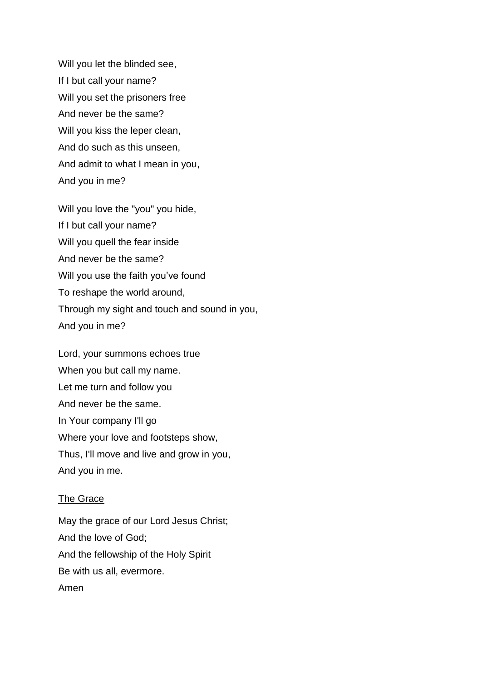Will you let the blinded see, If I but call your name? Will you set the prisoners free And never be the same? Will you kiss the leper clean, And do such as this unseen, And admit to what I mean in you, And you in me?

Will you love the "you" you hide, If I but call your name? Will you quell the fear inside And never be the same? Will you use the faith you've found To reshape the world around, Through my sight and touch and sound in you, And you in me?

Lord, your summons echoes true When you but call my name. Let me turn and follow you And never be the same. In Your company I'll go Where your love and footsteps show, Thus, I'll move and live and grow in you, And you in me.

#### The Grace

May the grace of our Lord Jesus Christ; And the love of God; And the fellowship of the Holy Spirit Be with us all, evermore. Amen